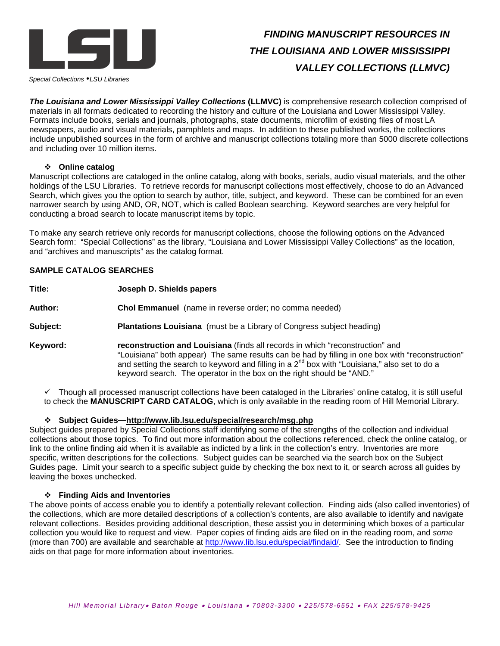

# *FINDING MANUSCRIPT RESOURCES IN THE LOUISIANA AND LOWER MISSISSIPPI VALLEY COLLECTIONS (LLMVC)*

*Special Collections LSU Libraries*

*The Louisiana and Lower Mississippi Valley Collections* **(LLMVC)** is comprehensive research collection comprised of materials in all formats dedicated to recording the history and culture of the Louisiana and Lower Mississippi Valley. Formats include books, serials and journals, photographs, state documents, microfilm of existing files of most LA newspapers, audio and visual materials, pamphlets and maps. In addition to these published works, the collections include unpublished sources in the form of archive and manuscript collections totaling more than 5000 discrete collections and including over 10 million items.

## **Online catalog**

Manuscript collections are cataloged in the online catalog, along with books, serials, audio visual materials, and the other holdings of the LSU Libraries. To retrieve records for manuscript collections most effectively, choose to do an Advanced Search, which gives you the option to search by author, title, subject, and keyword. These can be combined for an even narrower search by using AND, OR, NOT, which is called Boolean searching. Keyword searches are very helpful for conducting a broad search to locate manuscript items by topic.

To make any search retrieve only records for manuscript collections, choose the following options on the Advanced Search form: "Special Collections" as the library, "Louisiana and Lower Mississippi Valley Collections" as the location, and "archives and manuscripts" as the catalog format.

# **SAMPLE CATALOG SEARCHES**

**Title: Joseph D. Shields papers Author: Chol Emmanuel** (name in reverse order; no comma needed) **Subject: Plantations Louisiana** (must be a Library of Congress subject heading) **Keyword: reconstruction and Louisiana** (finds all records in which "reconstruction" and "Louisiana" both appear) The same results can be had by filling in one box with "reconstruction" and setting the search to keyword and filling in a  $2^{nd}$  box with "Louisiana," also set to do a keyword search. The operator in the box on the right should be "AND."

 $\checkmark$  Though all processed manuscript collections have been cataloged in the Libraries' online catalog, it is still useful to check the **MANUSCRIPT CARD CATALOG**, which is only available in the reading room of Hill Memorial Library.

#### **Subject Guides—http://www.lib.lsu.edu/special/research/msg.php**

Subject guides prepared by Special Collections staff identifying some of the strengths of the collection and individual collections about those topics. To find out more information about the collections referenced, check the online catalog, or link to the online finding aid when it is available as indicted by a link in the collection's entry. Inventories are more specific, written descriptions for the collections. Subject guides can be searched via the search box on the Subject Guides page. Limit your search to a specific subject guide by checking the box next to it, or search across all guides by leaving the boxes unchecked.

#### **Finding Aids and Inventories**

The above points of access enable you to identify a potentially relevant collection. Finding aids (also called inventories) of the collections, which are more detailed descriptions of a collection's contents, are also available to identify and navigate relevant collections. Besides providing additional description, these assist you in determining which boxes of a particular collection you would like to request and view. Paper copies of finding aids are filed on in the reading room, and *some*  (more than 700) are available and searchable at [http://www.lib.lsu.edu/special/findaid/.](http://www.lib.lsu.edu/special/findaid/) See the introduction to finding aids on that page for more information about inventories.